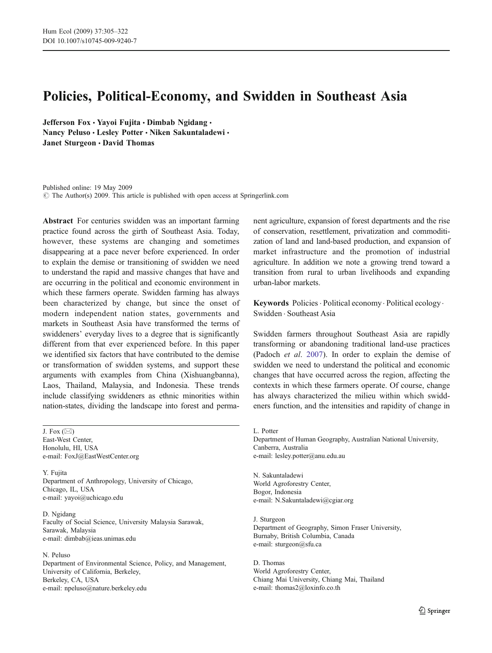# Policies, Political-Economy, and Swidden in Southeast Asia

Jefferson Fox · Yayoi Fujita · Dimbab Ngidang · Nancy Peluso · Lesley Potter · Niken Sakuntaladewi · Janet Sturgeon · David Thomas

Published online: 19 May 2009  $\circ$  The Author(s) 2009. This article is published with open access at Springerlink.com

Abstract For centuries swidden was an important farming practice found across the girth of Southeast Asia. Today, however, these systems are changing and sometimes disappearing at a pace never before experienced. In order to explain the demise or transitioning of swidden we need to understand the rapid and massive changes that have and are occurring in the political and economic environment in which these farmers operate. Swidden farming has always been characterized by change, but since the onset of modern independent nation states, governments and markets in Southeast Asia have transformed the terms of swiddeners' everyday lives to a degree that is significantly different from that ever experienced before. In this paper we identified six factors that have contributed to the demise or transformation of swidden systems, and support these arguments with examples from China (Xishuangbanna), Laos, Thailand, Malaysia, and Indonesia. These trends include classifying swiddeners as ethnic minorities within nation-states, dividing the landscape into forest and perma-

J. Fox  $(\boxtimes)$ East-West Center, Honolulu, HI, USA e-mail: FoxJ@EastWestCenter.org

Y. Fujita Department of Anthropology, University of Chicago, Chicago, IL, USA e-mail: yayoi@uchicago.edu

D. Ngidang Faculty of Social Science, University Malaysia Sarawak, Sarawak, Malaysia e-mail: dimbab@ieas.unimas.edu

#### N. Peluso

Department of Environmental Science, Policy, and Management, University of California, Berkeley, Berkeley, CA, USA e-mail: npeluso@nature.berkeley.edu

nent agriculture, expansion of forest departments and the rise of conservation, resettlement, privatization and commoditization of land and land-based production, and expansion of market infrastructure and the promotion of industrial agriculture. In addition we note a growing trend toward a transition from rural to urban livelihoods and expanding urban-labor markets.

Keywords Policies · Political economy · Political ecology · Swidden . Southeast Asia

Swidden farmers throughout Southeast Asia are rapidly transforming or abandoning traditional land-use practices (Padoch et al. [2007](#page-16-0)). In order to explain the demise of swidden we need to understand the political and economic changes that have occurred across the region, affecting the contexts in which these farmers operate. Of course, change has always characterized the milieu within which swiddeners function, and the intensities and rapidity of change in

Department of Human Geography, Australian National University, Canberra, Australia e-mail: lesley.potter@anu.edu.au

N. Sakuntaladewi World Agroforestry Center, Bogor, Indonesia e-mail: N.Sakuntaladewi@cgiar.org

J. Sturgeon Department of Geography, Simon Fraser University, Burnaby, British Columbia, Canada e-mail: sturgeon@sfu.ca

D. Thomas World Agroforestry Center, Chiang Mai University, Chiang Mai, Thailand e-mail: thomas2@loxinfo.co.th

L. Potter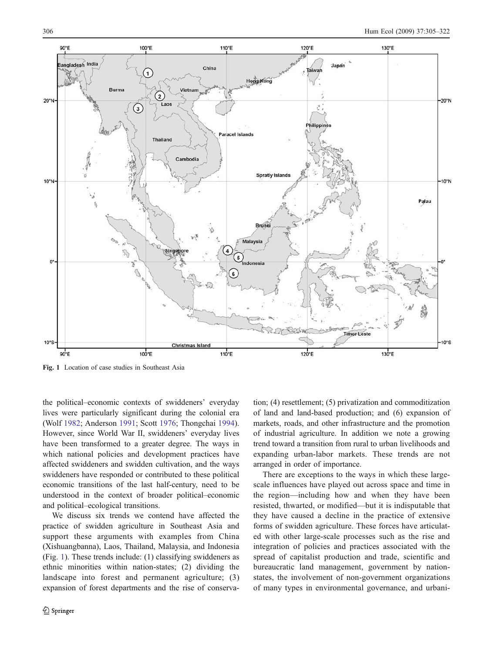

Fig. 1 Location of case studies in Southeast Asia

the political–economic contexts of swiddeners' everyday lives were particularly significant during the colonial era (Wolf [1982](#page-17-0); Anderson [1991](#page-14-0); Scott [1976](#page-16-0); Thongchai [1994](#page-17-0)). However, since World War II, swiddeners' everyday lives have been transformed to a greater degree. The ways in which national policies and development practices have affected swiddeners and swidden cultivation, and the ways swiddeners have responded or contributed to these political economic transitions of the last half-century, need to be understood in the context of broader political–economic and political–ecological transitions.

We discuss six trends we contend have affected the practice of swidden agriculture in Southeast Asia and support these arguments with examples from China (Xishuangbanna), Laos, Thailand, Malaysia, and Indonesia (Fig. 1). These trends include: (1) classifying swiddeners as ethnic minorities within nation-states; (2) dividing the landscape into forest and permanent agriculture; (3) expansion of forest departments and the rise of conserva-

tion; (4) resettlement; (5) privatization and commoditization of land and land-based production; and (6) expansion of markets, roads, and other infrastructure and the promotion of industrial agriculture. In addition we note a growing trend toward a transition from rural to urban livelihoods and expanding urban-labor markets. These trends are not arranged in order of importance.

There are exceptions to the ways in which these largescale influences have played out across space and time in the region—including how and when they have been resisted, thwarted, or modified—but it is indisputable that they have caused a decline in the practice of extensive forms of swidden agriculture. These forces have articulated with other large-scale processes such as the rise and integration of policies and practices associated with the spread of capitalist production and trade, scientific and bureaucratic land management, government by nationstates, the involvement of non-government organizations of many types in environmental governance, and urbani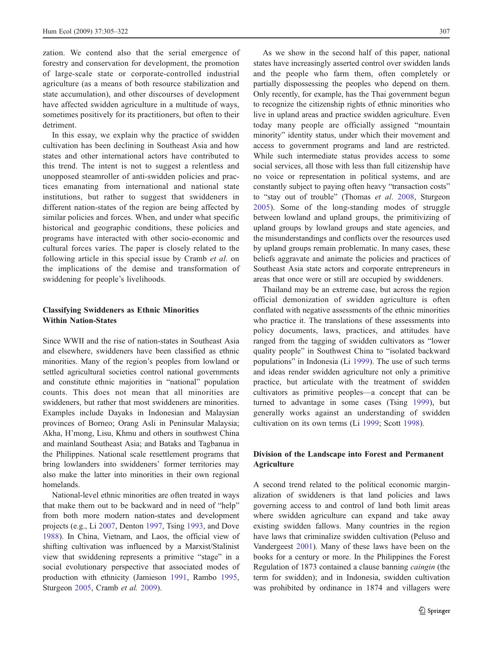zation. We contend also that the serial emergence of forestry and conservation for development, the promotion of large-scale state or corporate-controlled industrial agriculture (as a means of both resource stabilization and state accumulation), and other discourses of development have affected swidden agriculture in a multitude of ways, sometimes positively for its practitioners, but often to their detriment.

In this essay, we explain why the practice of swidden cultivation has been declining in Southeast Asia and how states and other international actors have contributed to this trend. The intent is not to suggest a relentless and unopposed steamroller of anti-swidden policies and practices emanating from international and national state institutions, but rather to suggest that swiddeners in different nation-states of the region are being affected by similar policies and forces. When, and under what specific historical and geographic conditions, these policies and programs have interacted with other socio-economic and cultural forces varies. The paper is closely related to the following article in this special issue by Cramb *et al.* on the implications of the demise and transformation of swiddening for people's livelihoods.

## Classifying Swiddeners as Ethnic Minorities Within Nation-States

Since WWII and the rise of nation-states in Southeast Asia and elsewhere, swiddeners have been classified as ethnic minorities. Many of the region's peoples from lowland or settled agricultural societies control national governments and constitute ethnic majorities in "national" population counts. This does not mean that all minorities are swiddeners, but rather that most swiddeners are minorities. Examples include Dayaks in Indonesian and Malaysian provinces of Borneo; Orang Asli in Peninsular Malaysia; Akha, H'mong, Lisu, Khmu and others in southwest China and mainland Southeast Asia; and Bataks and Tagbanua in the Philippines. National scale resettlement programs that bring lowlanders into swiddeners' former territories may also make the latter into minorities in their own regional homelands.

National-level ethnic minorities are often treated in ways that make them out to be backward and in need of "help" from both more modern nation-states and development projects (e.g., Li [2007,](#page-15-0) Denton [1997](#page-15-0), Tsing [1993](#page-17-0), and Dove [1988\)](#page-15-0). In China, Vietnam, and Laos, the official view of shifting cultivation was influenced by a Marxist/Stalinist view that swiddening represents a primitive "stage" in a social evolutionary perspective that associated modes of production with ethnicity (Jamieson [1991](#page-15-0), Rambo [1995](#page-16-0), Sturgeon [2005,](#page-16-0) Cramb et al. [2009](#page-15-0)).

As we show in the second half of this paper, national states have increasingly asserted control over swidden lands and the people who farm them, often completely or partially dispossessing the peoples who depend on them. Only recently, for example, has the Thai government begun to recognize the citizenship rights of ethnic minorities who live in upland areas and practice swidden agriculture. Even today many people are officially assigned "mountain minority" identity status, under which their movement and access to government programs and land are restricted. While such intermediate status provides access to some social services, all those with less than full citizenship have no voice or representation in political systems, and are constantly subject to paying often heavy "transaction costs" to "stay out of trouble" (Thomas et al. [2008,](#page-17-0) Sturgeon [2005](#page-16-0)). Some of the long-standing modes of struggle between lowland and upland groups, the primitivizing of upland groups by lowland groups and state agencies, and the misunderstandings and conflicts over the resources used by upland groups remain problematic. In many cases, these beliefs aggravate and animate the policies and practices of Southeast Asia state actors and corporate entrepreneurs in areas that once were or still are occupied by swiddeners.

Thailand may be an extreme case, but across the region official demonization of swidden agriculture is often conflated with negative assessments of the ethnic minorities who practice it. The translations of these assessments into policy documents, laws, practices, and attitudes have ranged from the tagging of swidden cultivators as "lower quality people" in Southwest China to "isolated backward populations" in Indonesia (Li [1999](#page-15-0)). The use of such terms and ideas render swidden agriculture not only a primitive practice, but articulate with the treatment of swidden cultivators as primitive peoples—a concept that can be turned to advantage in some cases (Tsing [1999](#page-17-0)), but generally works against an understanding of swidden cultivation on its own terms (Li [1999;](#page-15-0) Scott [1998](#page-16-0)).

## Division of the Landscape into Forest and Permanent **Agriculture**

A second trend related to the political economic marginalization of swiddeners is that land policies and laws governing access to and control of land both limit areas where swidden agriculture can expand and take away existing swidden fallows. Many countries in the region have laws that criminalize swidden cultivation (Peluso and Vandergeest [2001\)](#page-16-0). Many of these laws have been on the books for a century or more. In the Philippines the Forest Regulation of 1873 contained a clause banning caingin (the term for swidden); and in Indonesia, swidden cultivation was prohibited by ordinance in 1874 and villagers were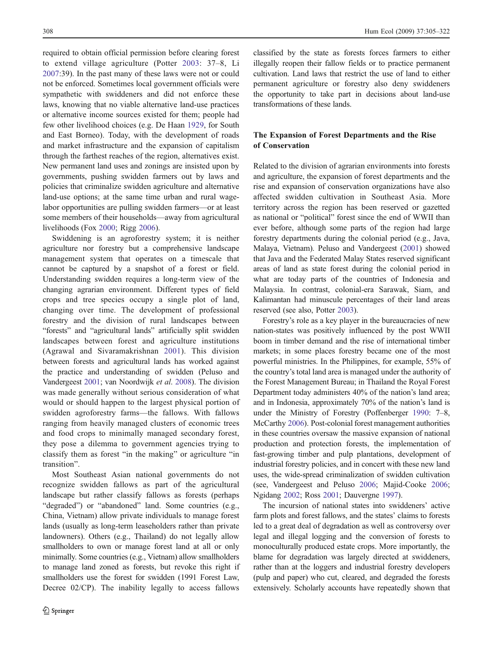required to obtain official permission before clearing forest to extend village agriculture (Potter [2003:](#page-16-0) 37–8, Li [2007:](#page-15-0)39). In the past many of these laws were not or could not be enforced. Sometimes local government officials were sympathetic with swiddeners and did not enforce these laws, knowing that no viable alternative land-use practices or alternative income sources existed for them; people had few other livelihood choices (e.g. De Haan [1929,](#page-15-0) for South and East Borneo). Today, with the development of roads and market infrastructure and the expansion of capitalism through the farthest reaches of the region, alternatives exist. New permanent land uses and zonings are insisted upon by governments, pushing swidden farmers out by laws and policies that criminalize swidden agriculture and alternative land-use options; at the same time urban and rural wagelabor opportunities are pulling swidden farmers—or at least some members of their households—away from agricultural livelihoods (Fox [2000;](#page-15-0) Rigg [2006](#page-16-0)).

Swiddening is an agroforestry system; it is neither agriculture nor forestry but a comprehensive landscape management system that operates on a timescale that cannot be captured by a snapshot of a forest or field. Understanding swidden requires a long-term view of the changing agrarian environment. Different types of field crops and tree species occupy a single plot of land, changing over time. The development of professional forestry and the division of rural landscapes between "forests" and "agricultural lands" artificially split swidden landscapes between forest and agriculture institutions (Agrawal and Sivaramakrishnan [2001](#page-14-0)). This division between forests and agricultural lands has worked against the practice and understanding of swidden (Peluso and Vandergeest [2001](#page-16-0); van Noordwijk et al. [2008\)](#page-17-0). The division was made generally without serious consideration of what would or should happen to the largest physical portion of swidden agroforestry farms—the fallows. With fallows ranging from heavily managed clusters of economic trees and food crops to minimally managed secondary forest, they pose a dilemma to government agencies trying to classify them as forest "in the making" or agriculture "in transition".

Most Southeast Asian national governments do not recognize swidden fallows as part of the agricultural landscape but rather classify fallows as forests (perhaps "degraded") or "abandoned" land. Some countries (e.g., China, Vietnam) allow private individuals to manage forest lands (usually as long-term leaseholders rather than private landowners). Others (e.g., Thailand) do not legally allow smallholders to own or manage forest land at all or only minimally. Some countries (e.g., Vietnam) allow smallholders to manage land zoned as forests, but revoke this right if smallholders use the forest for swidden (1991 Forest Law, Decree 02/CP). The inability legally to access fallows

classified by the state as forests forces farmers to either illegally reopen their fallow fields or to practice permanent cultivation. Land laws that restrict the use of land to either permanent agriculture or forestry also deny swiddeners the opportunity to take part in decisions about land-use transformations of these lands.

### The Expansion of Forest Departments and the Rise of Conservation

Related to the division of agrarian environments into forests and agriculture, the expansion of forest departments and the rise and expansion of conservation organizations have also affected swidden cultivation in Southeast Asia. More territory across the region has been reserved or gazetted as national or "political" forest since the end of WWII than ever before, although some parts of the region had large forestry departments during the colonial period (e.g., Java, Malaya, Vietnam). Peluso and Vandergeest [\(2001\)](#page-16-0) showed that Java and the Federated Malay States reserved significant areas of land as state forest during the colonial period in what are today parts of the countries of Indonesia and Malaysia. In contrast, colonial-era Sarawak, Siam, and Kalimantan had minuscule percentages of their land areas reserved (see also, Potter [2003](#page-16-0)).

Forestry's role as a key player in the bureaucracies of new nation-states was positively influenced by the post WWII boom in timber demand and the rise of international timber markets; in some places forestry became one of the most powerful ministries. In the Philippines, for example, 55% of the country's total land area is managed under the authority of the Forest Management Bureau; in Thailand the Royal Forest Department today administers 40% of the nation's land area; and in Indonesia, approximately 70% of the nation's land is under the Ministry of Forestry (Poffenberger [1990](#page-16-0): 7–8, McCarthy [2006](#page-16-0)). Post-colonial forest management authorities in these countries oversaw the massive expansion of national production and protection forests, the implementation of fast-growing timber and pulp plantations, development of industrial forestry policies, and in concert with these new land uses, the wide-spread criminalization of swidden cultivation (see, Vandergeest and Peluso [2006](#page-17-0); Majid-Cooke [2006](#page-15-0); Ngidang [2002](#page-16-0); Ross [2001;](#page-16-0) Dauvergne [1997](#page-15-0)).

The incursion of national states into swiddeners' active farm plots and forest fallows, and the states' claims to forests led to a great deal of degradation as well as controversy over legal and illegal logging and the conversion of forests to monoculturally produced estate crops. More importantly, the blame for degradation was largely directed at swiddeners, rather than at the loggers and industrial forestry developers (pulp and paper) who cut, cleared, and degraded the forests extensively. Scholarly accounts have repeatedly shown that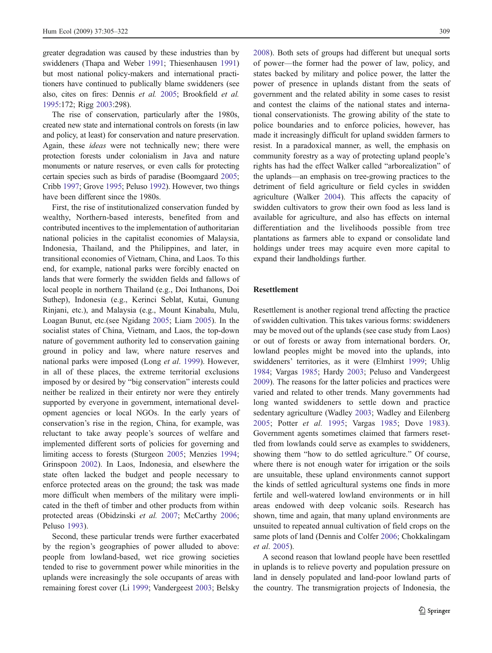greater degradation was caused by these industries than by swiddeners (Thapa and Weber [1991](#page-16-0); Thiesenhausen [1991\)](#page-16-0) but most national policy-makers and international practitioners have continued to publically blame swiddeners (see also, cites on fires: Dennis et al. [2005;](#page-15-0) Brookfield et al. [1995](#page-15-0):172; Rigg [2003](#page-16-0):298).

The rise of conservation, particularly after the 1980s, created new state and international controls on forests (in law and policy, at least) for conservation and nature preservation. Again, these ideas were not technically new; there were protection forests under colonialism in Java and nature monuments or nature reserves, or even calls for protecting certain species such as birds of paradise (Boomgaard [2005](#page-14-0); Cribb [1997;](#page-15-0) Grove [1995](#page-15-0); Peluso [1992\)](#page-16-0). However, two things have been different since the 1980s.

First, the rise of institutionalized conservation funded by wealthy, Northern-based interests, benefited from and contributed incentives to the implementation of authoritarian national policies in the capitalist economies of Malaysia, Indonesia, Thailand, and the Philippines, and later, in transitional economies of Vietnam, China, and Laos. To this end, for example, national parks were forcibly enacted on lands that were formerly the swidden fields and fallows of local people in northern Thailand (e.g., Doi Inthanons, Doi Suthep), Indonesia (e.g., Kerinci Seblat, Kutai, Gunung Rinjani, etc.), and Malaysia (e.g., Mount Kinabalu, Mulu, Loagan Bunut, etc.(see Ngidang [2005](#page-16-0); Liam [2005](#page-15-0)). In the socialist states of China, Vietnam, and Laos, the top-down nature of government authority led to conservation gaining ground in policy and law, where nature reserves and national parks were imposed (Long et al. [1999](#page-15-0)). However, in all of these places, the extreme territorial exclusions imposed by or desired by "big conservation" interests could neither be realized in their entirety nor were they entirely supported by everyone in government, international development agencies or local NGOs. In the early years of conservation's rise in the region, China, for example, was reluctant to take away people's sources of welfare and implemented different sorts of policies for governing and limiting access to forests (Sturgeon [2005](#page-16-0); Menzies [1994](#page-16-0); Grinspoon [2002](#page-15-0)). In Laos, Indonesia, and elsewhere the state often lacked the budget and people necessary to enforce protected areas on the ground; the task was made more difficult when members of the military were implicated in the theft of timber and other products from within protected areas (Obidzinski et al. [2007](#page-16-0); McCarthy [2006](#page-16-0); Peluso [1993](#page-16-0)).

Second, these particular trends were further exacerbated by the region's geographies of power alluded to above: people from lowland-based, wet rice growing societies tended to rise to government power while minorities in the uplands were increasingly the sole occupants of areas with remaining forest cover (Li [1999;](#page-15-0) Vandergeest [2003;](#page-17-0) Belsky [2008\)](#page-14-0). Both sets of groups had different but unequal sorts of power—the former had the power of law, policy, and states backed by military and police power, the latter the power of presence in uplands distant from the seats of government and the related ability in some cases to resist and contest the claims of the national states and international conservationists. The growing ability of the state to police boundaries and to enforce policies, however, has made it increasingly difficult for upland swidden farmers to resist. In a paradoxical manner, as well, the emphasis on community forestry as a way of protecting upland people's rights has had the effect Walker called "arborealization" of the uplands—an emphasis on tree-growing practices to the detriment of field agriculture or field cycles in swidden agriculture (Walker [2004\)](#page-17-0). This affects the capacity of swidden cultivators to grow their own food as less land is available for agriculture, and also has effects on internal differentiation and the livelihoods possible from tree plantations as farmers able to expand or consolidate land holdings under trees may acquire even more capital to expand their landholdings further.

#### Resettlement

Resettlement is another regional trend affecting the practice of swidden cultivation. This takes various forms: swiddeners may be moved out of the uplands (see case study from Laos) or out of forests or away from international borders. Or, lowland peoples might be moved into the uplands, into swiddeners' territories, as it were (Elmhirst [1999](#page-15-0); Uhlig [1984;](#page-17-0) Vargas [1985;](#page-17-0) Hardy [2003;](#page-15-0) Peluso and Vandergeest [2009\)](#page-16-0). The reasons for the latter policies and practices were varied and related to other trends. Many governments had long wanted swiddeners to settle down and practice sedentary agriculture (Wadley [2003](#page-17-0); Wadley and Eilenberg [2005](#page-17-0); Potter et al. [1995;](#page-16-0) Vargas [1985](#page-17-0); Dove [1983](#page-15-0)). Government agents sometimes claimed that farmers resettled from lowlands could serve as examples to swiddeners, showing them "how to do settled agriculture." Of course, where there is not enough water for irrigation or the soils are unsuitable, these upland environments cannot support the kinds of settled agricultural systems one finds in more fertile and well-watered lowland environments or in hill areas endowed with deep volcanic soils. Research has shown, time and again, that many upland environments are unsuited to repeated annual cultivation of field crops on the same plots of land (Dennis and Colfer [2006](#page-15-0); Chokkalingam et al. [2005\)](#page-15-0).

A second reason that lowland people have been resettled in uplands is to relieve poverty and population pressure on land in densely populated and land-poor lowland parts of the country. The transmigration projects of Indonesia, the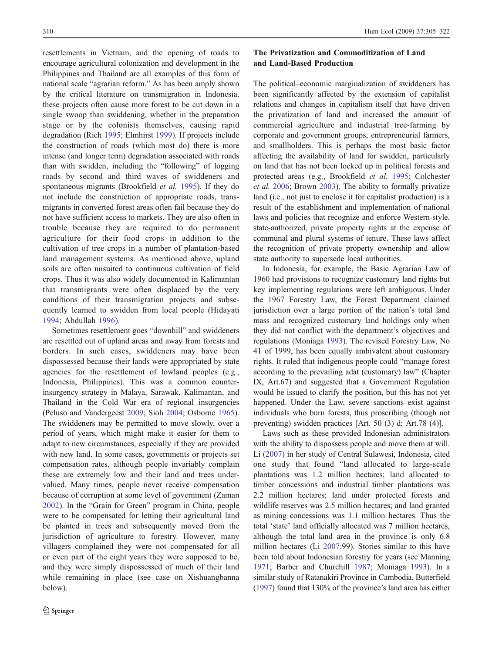resettlements in Vietnam, and the opening of roads to encourage agricultural colonization and development in the Philippines and Thailand are all examples of this form of national scale "agrarian reform." As has been amply shown by the critical literature on transmigration in Indonesia, these projects often cause more forest to be cut down in a single swoop than swiddening, whether in the preparation stage or by the colonists themselves, causing rapid degradation (Rich [1995](#page-16-0); Elmhirst [1999\)](#page-15-0). If projects include the construction of roads (which most do) there is more intense (and longer term) degradation associated with roads than with swidden, including the "following" of logging roads by second and third waves of swiddeners and spontaneous migrants (Brookfield et al. [1995\)](#page-15-0). If they do not include the construction of appropriate roads, transmigrants in converted forest areas often fail because they do not have sufficient access to markets. They are also often in trouble because they are required to do permanent agriculture for their food crops in addition to the cultivation of tree crops in a number of plantation-based land management systems. As mentioned above, upland soils are often unsuited to continuous cultivation of field crops. Thus it was also widely documented in Kalimantan that transmigrants were often displaced by the very conditions of their transmigration projects and subsequently learned to swidden from local people (Hidayati [1994](#page-15-0); Abdullah [1996](#page-14-0)).

Sometimes resettlement goes "downhill" and swiddeners are resettled out of upland areas and away from forests and borders. In such cases, swiddeners may have been dispossessed because their lands were appropriated by state agencies for the resettlement of lowland peoples (e.g., Indonesia, Philippines). This was a common counterinsurgency strategy in Malaya, Sarawak, Kalimantan, and Thailand in the Cold War era of regional insurgencies (Peluso and Vandergeest [2009;](#page-16-0) Sioh [2004](#page-16-0); Osborne [1965](#page-16-0)). The swiddeners may be permitted to move slowly, over a period of years, which might make it easier for them to adapt to new circumstances, especially if they are provided with new land. In some cases, governments or projects set compensation rates, although people invariably complain these are extremely low and their land and trees undervalued. Many times, people never receive compensation because of corruption at some level of government (Zaman [2002\)](#page-17-0). In the "Grain for Green" program in China, people were to be compensated for letting their agricultural land be planted in trees and subsequently moved from the jurisdiction of agriculture to forestry. However, many villagers complained they were not compensated for all or even part of the eight years they were supposed to be, and they were simply dispossessed of much of their land while remaining in place (see case on Xishuangbanna below).

# The Privatization and Commoditization of Land and Land-Based Production

The political–economic marginalization of swiddeners has been significantly affected by the extension of capitalist relations and changes in capitalism itself that have driven the privatization of land and increased the amount of commercial agriculture and industrial tree-farming by corporate and government groups, entrepreneurial farmers, and smallholders. This is perhaps the most basic factor affecting the availability of land for swidden, particularly on land that has not been locked up in political forests and protected areas (e.g., Brookfield et al. [1995;](#page-15-0) Colchester et al. [2006](#page-15-0); Brown [2003\)](#page-15-0). The ability to formally privatize land (i.e., not just to enclose it for capitalist production) is a result of the establishment and implementation of national laws and policies that recognize and enforce Western-style, state-authorized, private property rights at the expense of communal and plural systems of tenure. These laws affect the recognition of private property ownership and allow state authority to supersede local authorities.

In Indonesia, for example, the Basic Agrarian Law of 1960 had provisions to recognize customary land rights but key implementing regulations were left ambiguous. Under the 1967 Forestry Law, the Forest Department claimed jurisdiction over a large portion of the nation's total land mass and recognized customary land holdings only when they did not conflict with the department's objectives and regulations (Moniaga [1993](#page-16-0)). The revised Forestry Law, No 41 of 1999, has been equally ambivalent about customary rights. It ruled that indigenous people could "manage forest according to the prevailing adat (customary) law" (Chapter IX, Art.67) and suggested that a Government Regulation would be issued to clarify the position, but this has not yet happened. Under the Law, severe sanctions exist against individuals who burn forests, thus proscribing (though not preventing) swidden practices [Art. 50 (3) d; Art.78 (4)].

Laws such as these provided Indonesian administrators with the ability to dispossess people and move them at will. Li ([2007\)](#page-15-0) in her study of Central Sulawesi, Indonesia, cited one study that found "land allocated to large-scale plantations was 1.2 million hectares; land allocated to timber concessions and industrial timber plantations was 2.2 million hectares; land under protected forests and wildlife reserves was 2.5 million hectares; and land granted as mining concessions was 1.1 million hectares. Thus the total 'state' land officially allocated was 7 million hectares, although the total land area in the province is only 6.8 million hectares (Li [2007](#page-15-0):99). Stories similar to this have been told about Indonesian forestry for years (see Manning [1971;](#page-16-0) Barber and Churchill [1987;](#page-14-0) Moniaga [1993](#page-16-0)). In a similar study of Ratanakiri Province in Cambodia, Butterfield [\(1997](#page-15-0)) found that 130% of the province's land area has either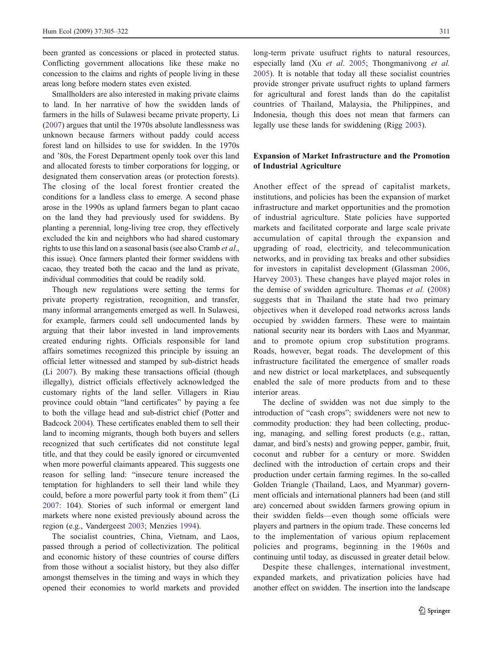been granted as concessions or placed in protected status. Conflicting government allocations like these make no concession to the claims and rights of people living in these areas long before modern states even existed.

Smallholders are also interested in making private claims to land. In her narrative of how the swidden lands of farmers in the hills of Sulawesi became private property, Li ([2007\)](#page-15-0) argues that until the 1970s absolute landlessness was unknown because farmers without paddy could access forest land on hillsides to use for swidden. In the 1970s and '80s, the Forest Department openly took over this land and allocated forests to timber corporations for logging, or designated them conservation areas (or protection forests). The closing of the local forest frontier created the conditions for a landless class to emerge. A second phase arose in the 1990s as upland farmers began to plant cacao on the land they had previously used for swiddens. By planting a perennial, long-living tree crop, they effectively excluded the kin and neighbors who had shared customary rights to use this land on a seasonal basis (see also Cramb et al., this issue). Once farmers planted their former swiddens with cacao, they treated both the cacao and the land as private, individual commodities that could be readily sold.

Though new regulations were setting the terms for private property registration, recognition, and transfer, many informal arrangements emerged as well. In Sulawesi, for example, farmers could sell undocumented lands by arguing that their labor invested in land improvements created enduring rights. Officials responsible for land affairs sometimes recognized this principle by issuing an official letter witnessed and stamped by sub-district heads (Li [2007](#page-15-0)). By making these transactions official (though illegally), district officials effectively acknowledged the customary rights of the land seller. Villagers in Riau province could obtain "land certificates" by paying a fee to both the village head and sub-district chief (Potter and Badcock [2004](#page-16-0)). These certificates enabled them to sell their land to incoming migrants, though both buyers and sellers recognized that such certificates did not constitute legal title, and that they could be easily ignored or circumvented when more powerful claimants appeared. This suggests one reason for selling land: "insecure tenure increased the temptation for highlanders to sell their land while they could, before a more powerful party took it from them" (Li [2007:](#page-15-0) 104). Stories of such informal or emergent land markets where none existed previously abound across the region (e.g., Vandergeest [2003](#page-17-0); Menzies [1994\)](#page-16-0).

The socialist countries, China, Vietnam, and Laos, passed through a period of collectivization. The political and economic history of these countries of course differs from those without a socialist history, but they also differ amongst themselves in the timing and ways in which they opened their economies to world markets and provided long-term private usufruct rights to natural resources, especially land (Xu et al. [2005;](#page-17-0) Thongmanivong et al. [2005\)](#page-17-0). It is notable that today all these socialist countries provide stronger private usufruct rights to upland farmers for agricultural and forest lands than do the capitalist countries of Thailand, Malaysia, the Philippines, and Indonesia, though this does not mean that farmers can legally use these lands for swiddening (Rigg [2003\)](#page-16-0).

## Expansion of Market Infrastructure and the Promotion of Industrial Agriculture

Another effect of the spread of capitalist markets, institutions, and policies has been the expansion of market infrastructure and market opportunities and the promotion of industrial agriculture. State policies have supported markets and facilitated corporate and large scale private accumulation of capital through the expansion and upgrading of road, electricity, and telecommunication networks, and in providing tax breaks and other subsidies for investors in capitalist development (Glassman [2006](#page-15-0), Harvey [2003](#page-15-0)). These changes have played major roles in the demise of swidden agriculture. Thomas et al. [\(2008\)](#page-17-0) suggests that in Thailand the state had two primary objectives when it developed road networks across lands occupied by swidden farmers. These were to maintain national security near its borders with Laos and Myanmar, and to promote opium crop substitution programs. Roads, however, begat roads. The development of this infrastructure facilitated the emergence of smaller roads and new district or local marketplaces, and subsequently enabled the sale of more products from and to these interior areas.

The decline of swidden was not due simply to the introduction of "cash crops"; swiddeners were not new to commodity production: they had been collecting, producing, managing, and selling forest products (e.g., rattan, damar, and bird's nests) and growing pepper, gambir, fruit, coconut and rubber for a century or more. Swidden declined with the introduction of certain crops and their production under certain farming regimes. In the so-called Golden Triangle (Thailand, Laos, and Myanmar) government officials and international planners had been (and still are) concerned about swidden farmers growing opium in their swidden fields—even though some officials were players and partners in the opium trade. These concerns led to the implementation of various opium replacement policies and programs, beginning in the 1960s and continuing until today, as discussed in greater detail below.

Despite these challenges, international investment, expanded markets, and privatization policies have had another effect on swidden. The insertion into the landscape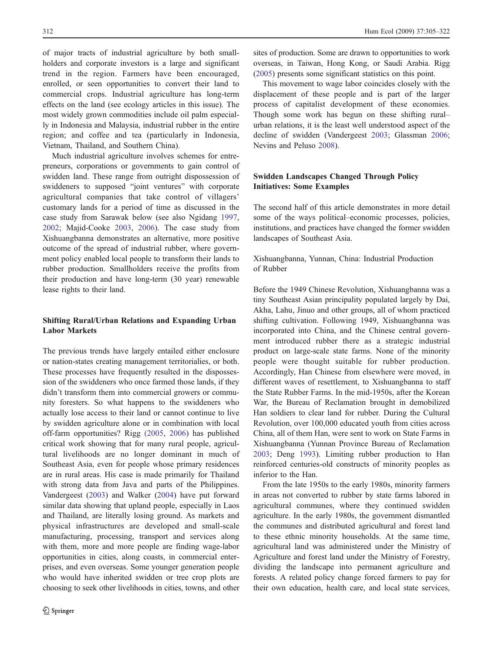of major tracts of industrial agriculture by both smallholders and corporate investors is a large and significant trend in the region. Farmers have been encouraged, enrolled, or seen opportunities to convert their land to commercial crops. Industrial agriculture has long-term effects on the land (see ecology articles in this issue). The most widely grown commodities include oil palm especially in Indonesia and Malaysia, industrial rubber in the entire region; and coffee and tea (particularly in Indonesia, Vietnam, Thailand, and Southern China).

Much industrial agriculture involves schemes for entrepreneurs, corporations or governments to gain control of swidden land. These range from outright dispossession of swiddeners to supposed "joint ventures" with corporate agricultural companies that take control of villagers' customary lands for a period of time as discussed in the case study from Sarawak below (see also Ngidang [1997](#page-16-0), [2002;](#page-16-0) Majid-Cooke [2003,](#page-15-0) [2006](#page-15-0)). The case study from Xishuangbanna demonstrates an alternative, more positive outcome of the spread of industrial rubber, where government policy enabled local people to transform their lands to rubber production. Smallholders receive the profits from their production and have long-term (30 year) renewable lease rights to their land.

## Shifting Rural/Urban Relations and Expanding Urban Labor Markets

The previous trends have largely entailed either enclosure or nation-states creating management territorialies, or both. These processes have frequently resulted in the dispossession of the swiddeners who once farmed those lands, if they didn't transform them into commercial growers or community foresters. So what happens to the swiddeners who actually lose access to their land or cannot continue to live by swidden agriculture alone or in combination with local off-farm opportunities? Rigg [\(2005](#page-16-0), [2006](#page-16-0)) has published critical work showing that for many rural people, agricultural livelihoods are no longer dominant in much of Southeast Asia, even for people whose primary residences are in rural areas. His case is made primarily for Thailand with strong data from Java and parts of the Philippines. Vandergeest ([2003\)](#page-17-0) and Walker [\(2004](#page-17-0)) have put forward similar data showing that upland people, especially in Laos and Thailand, are literally losing ground. As markets and physical infrastructures are developed and small-scale manufacturing, processing, transport and services along with them, more and more people are finding wage-labor opportunities in cities, along coasts, in commercial enterprises, and even overseas. Some younger generation people who would have inherited swidden or tree crop plots are choosing to seek other livelihoods in cities, towns, and other sites of production. Some are drawn to opportunities to work overseas, in Taiwan, Hong Kong, or Saudi Arabia. Rigg [\(2005\)](#page-16-0) presents some significant statistics on this point.

This movement to wage labor coincides closely with the displacement of these people and is part of the larger process of capitalist development of these economies. Though some work has begun on these shifting rural– urban relations, it is the least well understood aspect of the decline of swidden (Vandergeest [2003;](#page-17-0) Glassman [2006](#page-15-0); Nevins and Peluso [2008](#page-16-0)).

## Swidden Landscapes Changed Through Policy Initiatives: Some Examples

The second half of this article demonstrates in more detail some of the ways political–economic processes, policies, institutions, and practices have changed the former swidden landscapes of Southeast Asia.

Xishuangbanna, Yunnan, China: Industrial Production of Rubber

Before the 1949 Chinese Revolution, Xishuangbanna was a tiny Southeast Asian principality populated largely by Dai, Akha, Lahu, Jinuo and other groups, all of whom practiced shifting cultivation. Following 1949, Xishuangbanna was incorporated into China, and the Chinese central government introduced rubber there as a strategic industrial product on large-scale state farms. None of the minority people were thought suitable for rubber production. Accordingly, Han Chinese from elsewhere were moved, in different waves of resettlement, to Xishuangbanna to staff the State Rubber Farms. In the mid-1950s, after the Korean War, the Bureau of Reclamation brought in demobilized Han soldiers to clear land for rubber. During the Cultural Revolution, over 100,000 educated youth from cities across China, all of them Han, were sent to work on State Farms in Xishuangbanna (Yunnan Province Bureau of Reclamation [2003;](#page-17-0) Deng [1993\)](#page-15-0). Limiting rubber production to Han reinforced centuries-old constructs of minority peoples as inferior to the Han.

From the late 1950s to the early 1980s, minority farmers in areas not converted to rubber by state farms labored in agricultural communes, where they continued swidden agriculture. In the early 1980s, the government dismantled the communes and distributed agricultural and forest land to these ethnic minority households. At the same time, agricultural land was administered under the Ministry of Agriculture and forest land under the Ministry of Forestry, dividing the landscape into permanent agriculture and forests. A related policy change forced farmers to pay for their own education, health care, and local state services,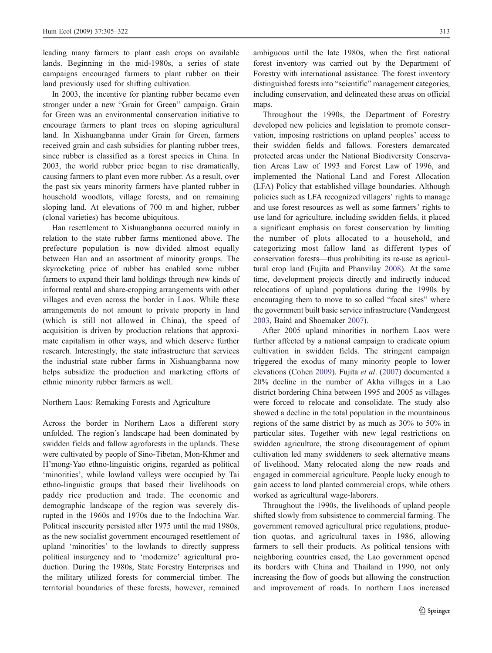leading many farmers to plant cash crops on available lands. Beginning in the mid-1980s, a series of state campaigns encouraged farmers to plant rubber on their land previously used for shifting cultivation.

In 2003, the incentive for planting rubber became even stronger under a new "Grain for Green" campaign. Grain for Green was an environmental conservation initiative to encourage farmers to plant trees on sloping agricultural land. In Xishuangbanna under Grain for Green, farmers received grain and cash subsidies for planting rubber trees, since rubber is classified as a forest species in China. In 2003, the world rubber price began to rise dramatically, causing farmers to plant even more rubber. As a result, over the past six years minority farmers have planted rubber in household woodlots, village forests, and on remaining sloping land. At elevations of 700 m and higher, rubber (clonal varieties) has become ubiquitous.

Han resettlement to Xishuangbanna occurred mainly in relation to the state rubber farms mentioned above. The prefecture population is now divided almost equally between Han and an assortment of minority groups. The skyrocketing price of rubber has enabled some rubber farmers to expand their land holdings through new kinds of informal rental and share-cropping arrangements with other villages and even across the border in Laos. While these arrangements do not amount to private property in land (which is still not allowed in China), the speed of acquisition is driven by production relations that approximate capitalism in other ways, and which deserve further research. Interestingly, the state infrastructure that services the industrial state rubber farms in Xishuangbanna now helps subsidize the production and marketing efforts of ethnic minority rubber farmers as well.

#### Northern Laos: Remaking Forests and Agriculture

Across the border in Northern Laos a different story unfolded. The region's landscape had been dominated by swidden fields and fallow agroforests in the uplands. These were cultivated by people of Sino-Tibetan, Mon-Khmer and H'mong-Yao ethno-linguistic origins, regarded as political 'minorities', while lowland valleys were occupied by Tai ethno-linguistic groups that based their livelihoods on paddy rice production and trade. The economic and demographic landscape of the region was severely disrupted in the 1960s and 1970s due to the Indochina War. Political insecurity persisted after 1975 until the mid 1980s, as the new socialist government encouraged resettlement of upland 'minorities' to the lowlands to directly suppress political insurgency and to 'modernize' agricultural production. During the 1980s, State Forestry Enterprises and the military utilized forests for commercial timber. The territorial boundaries of these forests, however, remained ambiguous until the late 1980s, when the first national forest inventory was carried out by the Department of Forestry with international assistance. The forest inventory distinguished forests into "scientific" management categories, including conservation, and delineated these areas on official maps.

Throughout the 1990s, the Department of Forestry developed new policies and legislation to promote conservation, imposing restrictions on upland peoples' access to their swidden fields and fallows. Foresters demarcated protected areas under the National Biodiversity Conservation Areas Law of 1993 and Forest Law of 1996, and implemented the National Land and Forest Allocation (LFA) Policy that established village boundaries. Although policies such as LFA recognized villagers' rights to manage and use forest resources as well as some farmers' rights to use land for agriculture, including swidden fields, it placed a significant emphasis on forest conservation by limiting the number of plots allocated to a household, and categorizing most fallow land as different types of conservation forests—thus prohibiting its re-use as agricultural crop land (Fujita and Phanvilay [2008\)](#page-15-0). At the same time, development projects directly and indirectly induced relocations of upland populations during the 1990s by encouraging them to move to so called "focal sites" where the government built basic service infrastructure (Vandergeest [2003](#page-17-0), Baird and Shoemaker [2007\)](#page-14-0).

After 2005 upland minorities in northern Laos were further affected by a national campaign to eradicate opium cultivation in swidden fields. The stringent campaign triggered the exodus of many minority people to lower elevations (Cohen [2009\)](#page-15-0). Fujita et al. ([2007\)](#page-15-0) documented a 20% decline in the number of Akha villages in a Lao district bordering China between 1995 and 2005 as villages were forced to relocate and consolidate. The study also showed a decline in the total population in the mountainous regions of the same district by as much as 30% to 50% in particular sites. Together with new legal restrictions on swidden agriculture, the strong discouragement of opium cultivation led many swiddeners to seek alternative means of livelihood. Many relocated along the new roads and engaged in commercial agriculture. People lucky enough to gain access to land planted commercial crops, while others worked as agricultural wage-laborers.

Throughout the 1990s, the livelihoods of upland people shifted slowly from subsistence to commercial farming. The government removed agricultural price regulations, production quotas, and agricultural taxes in 1986, allowing farmers to sell their products. As political tensions with neighboring countries eased, the Lao government opened its borders with China and Thailand in 1990, not only increasing the flow of goods but allowing the construction and improvement of roads. In northern Laos increased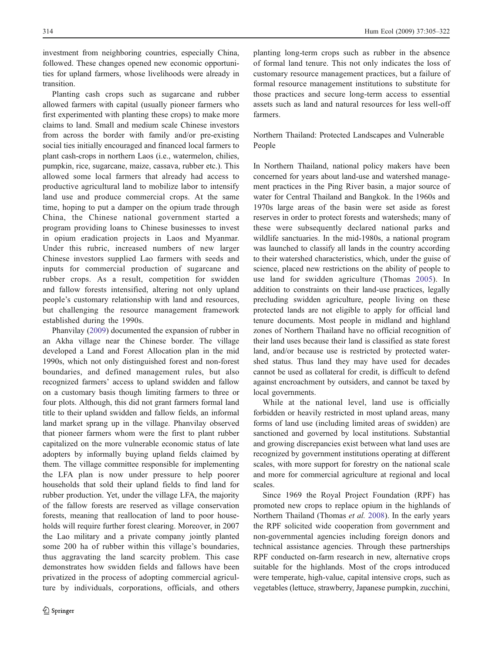investment from neighboring countries, especially China, followed. These changes opened new economic opportunities for upland farmers, whose livelihoods were already in transition.

Planting cash crops such as sugarcane and rubber allowed farmers with capital (usually pioneer farmers who first experimented with planting these crops) to make more claims to land. Small and medium scale Chinese investors from across the border with family and/or pre-existing social ties initially encouraged and financed local farmers to plant cash-crops in northern Laos (i.e., watermelon, chilies, pumpkin, rice, sugarcane, maize, cassava, rubber etc.). This allowed some local farmers that already had access to productive agricultural land to mobilize labor to intensify land use and produce commercial crops. At the same time, hoping to put a damper on the opium trade through China, the Chinese national government started a program providing loans to Chinese businesses to invest in opium eradication projects in Laos and Myanmar. Under this rubric, increased numbers of new larger Chinese investors supplied Lao farmers with seeds and inputs for commercial production of sugarcane and rubber crops. As a result, competition for swidden and fallow forests intensified, altering not only upland people's customary relationship with land and resources, but challenging the resource management framework established during the 1990s.

Phanvilay [\(2009](#page-16-0)) documented the expansion of rubber in an Akha village near the Chinese border. The village developed a Land and Forest Allocation plan in the mid 1990s, which not only distinguished forest and non-forest boundaries, and defined management rules, but also recognized farmers' access to upland swidden and fallow on a customary basis though limiting farmers to three or four plots. Although, this did not grant farmers formal land title to their upland swidden and fallow fields, an informal land market sprang up in the village. Phanvilay observed that pioneer farmers whom were the first to plant rubber capitalized on the more vulnerable economic status of late adopters by informally buying upland fields claimed by them. The village committee responsible for implementing the LFA plan is now under pressure to help poorer households that sold their upland fields to find land for rubber production. Yet, under the village LFA, the majority of the fallow forests are reserved as village conservation forests, meaning that reallocation of land to poor households will require further forest clearing. Moreover, in 2007 the Lao military and a private company jointly planted some 200 ha of rubber within this village's boundaries, thus aggravating the land scarcity problem. This case demonstrates how swidden fields and fallows have been privatized in the process of adopting commercial agriculture by individuals, corporations, officials, and others planting long-term crops such as rubber in the absence of formal land tenure. This not only indicates the loss of customary resource management practices, but a failure of formal resource management institutions to substitute for those practices and secure long-term access to essential assets such as land and natural resources for less well-off farmers.

Northern Thailand: Protected Landscapes and Vulnerable People

In Northern Thailand, national policy makers have been concerned for years about land-use and watershed management practices in the Ping River basin, a major source of water for Central Thailand and Bangkok. In the 1960s and 1970s large areas of the basin were set aside as forest reserves in order to protect forests and watersheds; many of these were subsequently declared national parks and wildlife sanctuaries. In the mid-1980s, a national program was launched to classify all lands in the country according to their watershed characteristics, which, under the guise of science, placed new restrictions on the ability of people to use land for swidden agriculture (Thomas [2005](#page-16-0)). In addition to constraints on their land-use practices, legally precluding swidden agriculture, people living on these protected lands are not eligible to apply for official land tenure documents. Most people in midland and highland zones of Northern Thailand have no official recognition of their land uses because their land is classified as state forest land, and/or because use is restricted by protected watershed status. Thus land they may have used for decades cannot be used as collateral for credit, is difficult to defend against encroachment by outsiders, and cannot be taxed by local governments.

While at the national level, land use is officially forbidden or heavily restricted in most upland areas, many forms of land use (including limited areas of swidden) are sanctioned and governed by local institutions. Substantial and growing discrepancies exist between what land uses are recognized by government institutions operating at different scales, with more support for forestry on the national scale and more for commercial agriculture at regional and local scales.

Since 1969 the Royal Project Foundation (RPF) has promoted new crops to replace opium in the highlands of Northern Thailand (Thomas et al. [2008\)](#page-17-0). In the early years the RPF solicited wide cooperation from government and non-governmental agencies including foreign donors and technical assistance agencies. Through these partnerships RPF conducted on-farm research in new, alternative crops suitable for the highlands. Most of the crops introduced were temperate, high-value, capital intensive crops, such as vegetables (lettuce, strawberry, Japanese pumpkin, zucchini,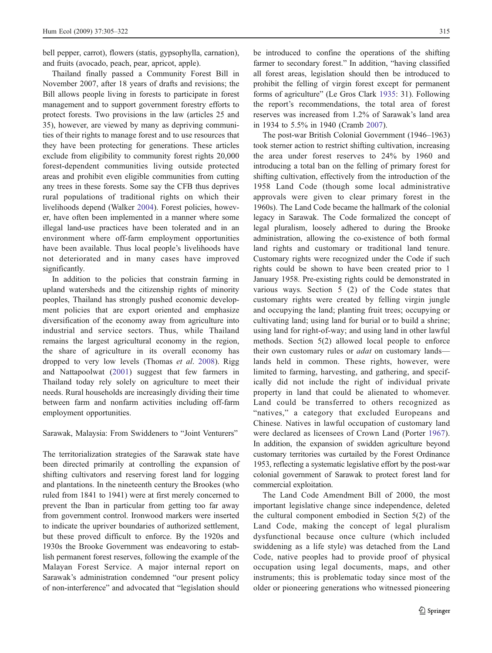bell pepper, carrot), flowers (statis, gypsophylla, carnation), and fruits (avocado, peach, pear, apricot, apple).

Thailand finally passed a Community Forest Bill in November 2007, after 18 years of drafts and revisions; the Bill allows people living in forests to participate in forest management and to support government forestry efforts to protect forests. Two provisions in the law (articles 25 and 35), however, are viewed by many as depriving communities of their rights to manage forest and to use resources that they have been protecting for generations. These articles exclude from eligibility to community forest rights 20,000 forest-dependent communities living outside protected areas and prohibit even eligible communities from cutting any trees in these forests. Some say the CFB thus deprives rural populations of traditional rights on which their livelihoods depend (Walker [2004](#page-17-0)). Forest policies, however, have often been implemented in a manner where some illegal land-use practices have been tolerated and in an environment where off-farm employment opportunities have been available. Thus local people's livelihoods have not deteriorated and in many cases have improved significantly.

In addition to the policies that constrain farming in upland watersheds and the citizenship rights of minority peoples, Thailand has strongly pushed economic development policies that are export oriented and emphasize diversification of the economy away from agriculture into industrial and service sectors. Thus, while Thailand remains the largest agricultural economy in the region, the share of agriculture in its overall economy has dropped to very low levels (Thomas et al. [2008](#page-17-0)). Rigg and Nattapoolwat [\(2001](#page-16-0)) suggest that few farmers in Thailand today rely solely on agriculture to meet their needs. Rural households are increasingly dividing their time between farm and nonfarm activities including off-farm employment opportunities.

#### Sarawak, Malaysia: From Swiddeners to "Joint Venturers"

The territorialization strategies of the Sarawak state have been directed primarily at controlling the expansion of shifting cultivators and reserving forest land for logging and plantations. In the nineteenth century the Brookes (who ruled from 1841 to 1941) were at first merely concerned to prevent the Iban in particular from getting too far away from government control. Ironwood markers were inserted to indicate the upriver boundaries of authorized settlement, but these proved difficult to enforce. By the 1920s and 1930s the Brooke Government was endeavoring to establish permanent forest reserves, following the example of the Malayan Forest Service. A major internal report on Sarawak's administration condemned "our present policy of non-interference" and advocated that "legislation should be introduced to confine the operations of the shifting farmer to secondary forest." In addition, "having classified all forest areas, legislation should then be introduced to prohibit the felling of virgin forest except for permanent forms of agriculture" (Le Gros Clark [1935](#page-15-0): 31). Following the report's recommendations, the total area of forest reserves was increased from 1.2% of Sarawak's land area in 1934 to 5.5% in 1940 (Cramb [2007\)](#page-15-0).

The post-war British Colonial Government (1946–1963) took sterner action to restrict shifting cultivation, increasing the area under forest reserves to 24% by 1960 and introducing a total ban on the felling of primary forest for shifting cultivation, effectively from the introduction of the 1958 Land Code (though some local administrative approvals were given to clear primary forest in the 1960s). The Land Code became the hallmark of the colonial legacy in Sarawak. The Code formalized the concept of legal pluralism, loosely adhered to during the Brooke administration, allowing the co-existence of both formal land rights and customary or traditional land tenure. Customary rights were recognized under the Code if such rights could be shown to have been created prior to 1 January 1958. Pre-existing rights could be demonstrated in various ways. Section 5 (2) of the Code states that customary rights were created by felling virgin jungle and occupying the land; planting fruit trees; occupying or cultivating land; using land for burial or to build a shrine; using land for right-of-way; and using land in other lawful methods. Section 5(2) allowed local people to enforce their own customary rules or *adat* on customary lands lands held in common. These rights, however, were limited to farming, harvesting, and gathering, and specifically did not include the right of individual private property in land that could be alienated to whomever. Land could be transferred to others recognized as "natives," a category that excluded Europeans and Chinese. Natives in lawful occupation of customary land were declared as licensees of Crown Land (Porter [1967](#page-16-0)). In addition, the expansion of swidden agriculture beyond customary territories was curtailed by the Forest Ordinance 1953, reflecting a systematic legislative effort by the post-war colonial government of Sarawak to protect forest land for commercial exploitation.

The Land Code Amendment Bill of 2000, the most important legislative change since independence, deleted the cultural component embodied in Section 5(2) of the Land Code, making the concept of legal pluralism dysfunctional because once culture (which included swiddening as a life style) was detached from the Land Code, native peoples had to provide proof of physical occupation using legal documents, maps, and other instruments; this is problematic today since most of the older or pioneering generations who witnessed pioneering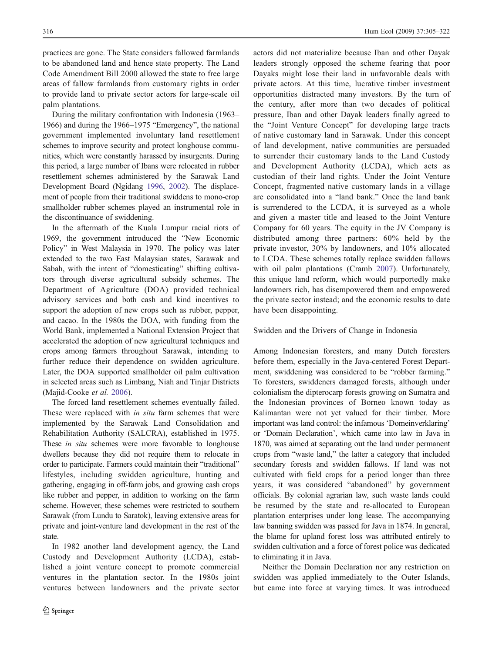practices are gone. The State considers fallowed farmlands to be abandoned land and hence state property. The Land Code Amendment Bill 2000 allowed the state to free large areas of fallow farmlands from customary rights in order to provide land to private sector actors for large-scale oil palm plantations.

During the military confrontation with Indonesia (1963– 1966) and during the 1966–1975 "Emergency", the national government implemented involuntary land resettlement schemes to improve security and protect longhouse communities, which were constantly harassed by insurgents. During this period, a large number of Ibans were relocated in rubber resettlement schemes administered by the Sarawak Land Development Board (Ngidang [1996](#page-16-0), [2002](#page-16-0)). The displacement of people from their traditional swiddens to mono-crop smallholder rubber schemes played an instrumental role in the discontinuance of swiddening.

In the aftermath of the Kuala Lumpur racial riots of 1969, the government introduced the "New Economic Policy" in West Malaysia in 1970. The policy was later extended to the two East Malaysian states, Sarawak and Sabah, with the intent of "domesticating" shifting cultivators through diverse agricultural subsidy schemes. The Department of Agriculture (DOA) provided technical advisory services and both cash and kind incentives to support the adoption of new crops such as rubber, pepper, and cacao. In the 1980s the DOA, with funding from the World Bank, implemented a National Extension Project that accelerated the adoption of new agricultural techniques and crops among farmers throughout Sarawak, intending to further reduce their dependence on swidden agriculture. Later, the DOA supported smallholder oil palm cultivation in selected areas such as Limbang, Niah and Tinjar Districts (Majid-Cooke et al. [2006\)](#page-16-0).

The forced land resettlement schemes eventually failed. These were replaced with in situ farm schemes that were implemented by the Sarawak Land Consolidation and Rehabilitation Authority (SALCRA), established in 1975. These *in situ* schemes were more favorable to longhouse dwellers because they did not require them to relocate in order to participate. Farmers could maintain their "traditional" lifestyles, including swidden agriculture, hunting and gathering, engaging in off-farm jobs, and growing cash crops like rubber and pepper, in addition to working on the farm scheme. However, these schemes were restricted to southern Sarawak (from Lundu to Saratok), leaving extensive areas for private and joint-venture land development in the rest of the state.

In 1982 another land development agency, the Land Custody and Development Authority (LCDA), established a joint venture concept to promote commercial ventures in the plantation sector. In the 1980s joint ventures between landowners and the private sector actors did not materialize because Iban and other Dayak leaders strongly opposed the scheme fearing that poor Dayaks might lose their land in unfavorable deals with private actors. At this time, lucrative timber investment opportunities distracted many investors. By the turn of the century, after more than two decades of political pressure, Iban and other Dayak leaders finally agreed to the "Joint Venture Concept" for developing large tracts of native customary land in Sarawak. Under this concept of land development, native communities are persuaded to surrender their customary lands to the Land Custody and Development Authority (LCDA), which acts as custodian of their land rights. Under the Joint Venture Concept, fragmented native customary lands in a village are consolidated into a "land bank." Once the land bank is surrendered to the LCDA, it is surveyed as a whole and given a master title and leased to the Joint Venture Company for 60 years. The equity in the JV Company is distributed among three partners: 60% held by the private investor, 30% by landowners, and 10% allocated to LCDA. These schemes totally replace swidden fallows with oil palm plantations (Cramb [2007](#page-15-0)). Unfortunately, this unique land reform, which would purportedly make landowners rich, has disempowered them and empowered the private sector instead; and the economic results to date have been disappointing.

#### Swidden and the Drivers of Change in Indonesia

Among Indonesian foresters, and many Dutch foresters before them, especially in the Java-centered Forest Department, swiddening was considered to be "robber farming." To foresters, swiddeners damaged forests, although under colonialism the dipterocarp forests growing on Sumatra and the Indonesian provinces of Borneo known today as Kalimantan were not yet valued for their timber. More important was land control: the infamous 'Domeinverklaring' or 'Domain Declaration', which came into law in Java in 1870, was aimed at separating out the land under permanent crops from "waste land," the latter a category that included secondary forests and swidden fallows. If land was not cultivated with field crops for a period longer than three years, it was considered "abandoned" by government officials. By colonial agrarian law, such waste lands could be resumed by the state and re-allocated to European plantation enterprises under long lease. The accompanying law banning swidden was passed for Java in 1874. In general, the blame for upland forest loss was attributed entirely to swidden cultivation and a force of forest police was dedicated to eliminating it in Java.

Neither the Domain Declaration nor any restriction on swidden was applied immediately to the Outer Islands, but came into force at varying times. It was introduced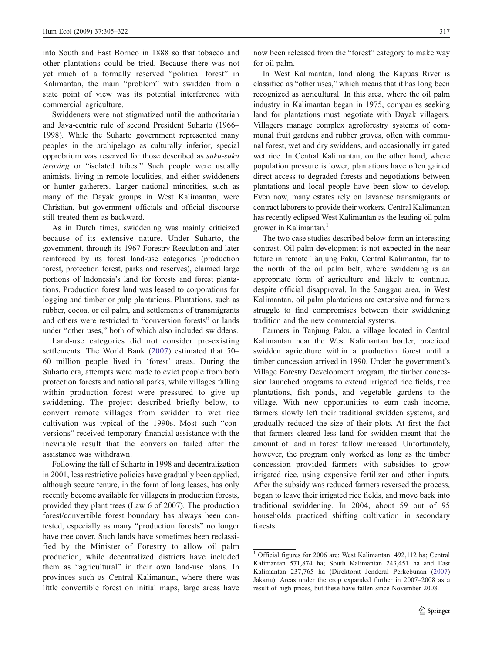into South and East Borneo in 1888 so that tobacco and other plantations could be tried. Because there was not yet much of a formally reserved "political forest" in Kalimantan, the main "problem" with swidden from a state point of view was its potential interference with commercial agriculture.

Swiddeners were not stigmatized until the authoritarian and Java-centric rule of second President Suharto (1966– 1998). While the Suharto government represented many peoples in the archipelago as culturally inferior, special opprobrium was reserved for those described as suku-suku terasing or "isolated tribes." Such people were usually animists, living in remote localities, and either swiddeners or hunter–gatherers. Larger national minorities, such as many of the Dayak groups in West Kalimantan, were Christian, but government officials and official discourse still treated them as backward.

As in Dutch times, swiddening was mainly criticized because of its extensive nature. Under Suharto, the government, through its 1967 Forestry Regulation and later reinforced by its forest land-use categories (production forest, protection forest, parks and reserves), claimed large portions of Indonesia's land for forests and forest plantations. Production forest land was leased to corporations for logging and timber or pulp plantations. Plantations, such as rubber, cocoa, or oil palm, and settlements of transmigrants and others were restricted to "conversion forests" or lands under "other uses," both of which also included swiddens.

Land-use categories did not consider pre-existing settlements. The World Bank [\(2007\)](#page-17-0) estimated that 50– 60 million people lived in 'forest' areas. During the Suharto era, attempts were made to evict people from both protection forests and national parks, while villages falling within production forest were pressured to give up swiddening. The project described briefly below, to convert remote villages from swidden to wet rice cultivation was typical of the 1990s. Most such "conversions" received temporary financial assistance with the inevitable result that the conversion failed after the assistance was withdrawn.

Following the fall of Suharto in 1998 and decentralization in 2001, less restrictive policies have gradually been applied, although secure tenure, in the form of long leases, has only recently become available for villagers in production forests, provided they plant trees (Law 6 of 2007). The production forest/convertible forest boundary has always been contested, especially as many "production forests" no longer have tree cover. Such lands have sometimes been reclassified by the Minister of Forestry to allow oil palm production, while decentralized districts have included them as "agricultural" in their own land-use plans. In provinces such as Central Kalimantan, where there was little convertible forest on initial maps, large areas have now been released from the "forest" category to make way for oil palm.

In West Kalimantan, land along the Kapuas River is classified as "other uses," which means that it has long been recognized as agricultural. In this area, where the oil palm industry in Kalimantan began in 1975, companies seeking land for plantations must negotiate with Dayak villagers. Villagers manage complex agroforestry systems of communal fruit gardens and rubber groves, often with communal forest, wet and dry swiddens, and occasionally irrigated wet rice. In Central Kalimantan, on the other hand, where population pressure is lower, plantations have often gained direct access to degraded forests and negotiations between plantations and local people have been slow to develop. Even now, many estates rely on Javanese transmigrants or contract laborers to provide their workers. Central Kalimantan has recently eclipsed West Kalimantan as the leading oil palm grower in Kalimantan.<sup>1</sup>

The two case studies described below form an interesting contrast. Oil palm development is not expected in the near future in remote Tanjung Paku, Central Kalimantan, far to the north of the oil palm belt, where swiddening is an appropriate form of agriculture and likely to continue, despite official disapproval. In the Sanggau area, in West Kalimantan, oil palm plantations are extensive and farmers struggle to find compromises between their swiddening tradition and the new commercial systems.

Farmers in Tanjung Paku, a village located in Central Kalimantan near the West Kalimantan border, practiced swidden agriculture within a production forest until a timber concession arrived in 1990. Under the government's Village Forestry Development program, the timber concession launched programs to extend irrigated rice fields, tree plantations, fish ponds, and vegetable gardens to the village. With new opportunities to earn cash income, farmers slowly left their traditional swidden systems, and gradually reduced the size of their plots. At first the fact that farmers cleared less land for swidden meant that the amount of land in forest fallow increased. Unfortunately, however, the program only worked as long as the timber concession provided farmers with subsidies to grow irrigated rice, using expensive fertilizer and other inputs. After the subsidy was reduced farmers reversed the process, began to leave their irrigated rice fields, and move back into traditional swiddening. In 2004, about 59 out of 95 households practiced shifting cultivation in secondary forests.

<sup>1</sup> Official figures for 2006 are: West Kalimantan: 492,112 ha; Central Kalimantan 571,874 ha; South Kalimantan 243,451 ha and East Kalimantan 237,765 ha (Direktorat Jenderal Perkebunan ([2007](#page-15-0)) Jakarta). Areas under the crop expanded further in 2007–2008 as a result of high prices, but these have fallen since November 2008.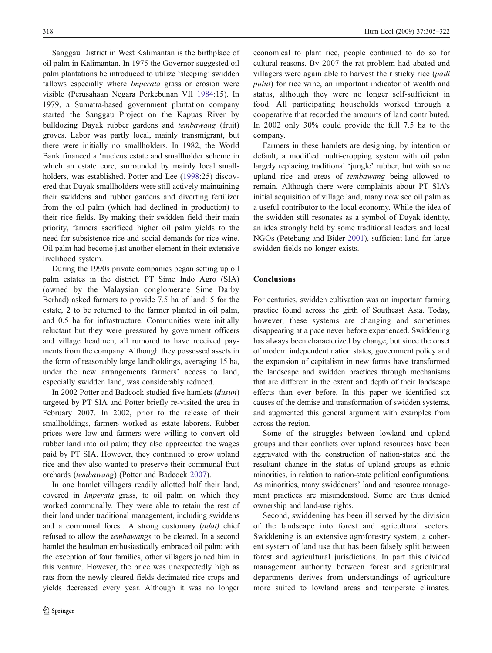Sanggau District in West Kalimantan is the birthplace of oil palm in Kalimantan. In 1975 the Governor suggested oil palm plantations be introduced to utilize 'sleeping' swidden fallows especially where *Imperata* grass or erosion were visible (Perusahaan Negara Perkebunan VII [1984](#page-16-0):15). In 1979, a Sumatra-based government plantation company started the Sanggau Project on the Kapuas River by bulldozing Dayak rubber gardens and tembawang (fruit) groves. Labor was partly local, mainly transmigrant, but there were initially no smallholders. In 1982, the World Bank financed a 'nucleus estate and smallholder scheme in which an estate core, surrounded by mainly local smallholders, was established. Potter and Lee [\(1998](#page-16-0):25) discovered that Dayak smallholders were still actively maintaining their swiddens and rubber gardens and diverting fertilizer from the oil palm (which had declined in production) to their rice fields. By making their swidden field their main priority, farmers sacrificed higher oil palm yields to the need for subsistence rice and social demands for rice wine. Oil palm had become just another element in their extensive livelihood system.

During the 1990s private companies began setting up oil palm estates in the district. PT Sime Indo Agro (SIA) (owned by the Malaysian conglomerate Sime Darby Berhad) asked farmers to provide 7.5 ha of land: 5 for the estate, 2 to be returned to the farmer planted in oil palm, and 0.5 ha for infrastructure. Communities were initially reluctant but they were pressured by government officers and village headmen, all rumored to have received payments from the company. Although they possessed assets in the form of reasonably large landholdings, averaging 15 ha, under the new arrangements farmers' access to land, especially swidden land, was considerably reduced.

In 2002 Potter and Badcock studied five hamlets (dusun) targeted by PT SIA and Potter briefly re-visited the area in February 2007. In 2002, prior to the release of their smallholdings, farmers worked as estate laborers. Rubber prices were low and farmers were willing to convert old rubber land into oil palm; they also appreciated the wages paid by PT SIA. However, they continued to grow upland rice and they also wanted to preserve their communal fruit orchards (tembawang) (Potter and Badcock [2007](#page-16-0)).

In one hamlet villagers readily allotted half their land, covered in Imperata grass, to oil palm on which they worked communally. They were able to retain the rest of their land under traditional management, including swiddens and a communal forest. A strong customary (adat) chief refused to allow the tembawangs to be cleared. In a second hamlet the headman enthusiastically embraced oil palm; with the exception of four families, other villagers joined him in this venture. However, the price was unexpectedly high as rats from the newly cleared fields decimated rice crops and yields decreased every year. Although it was no longer

economical to plant rice, people continued to do so for cultural reasons. By 2007 the rat problem had abated and villagers were again able to harvest their sticky rice (padi pulut) for rice wine, an important indicator of wealth and status, although they were no longer self-sufficient in food. All participating households worked through a cooperative that recorded the amounts of land contributed. In 2002 only 30% could provide the full 7.5 ha to the company.

Farmers in these hamlets are designing, by intention or default, a modified multi-cropping system with oil palm largely replacing traditional 'jungle' rubber, but with some upland rice and areas of tembawang being allowed to remain. Although there were complaints about PT SIA's initial acquisition of village land, many now see oil palm as a useful contributor to the local economy. While the idea of the swidden still resonates as a symbol of Dayak identity, an idea strongly held by some traditional leaders and local NGOs (Petebang and Bider [2001](#page-16-0)), sufficient land for large swidden fields no longer exists.

#### Conclusions

For centuries, swidden cultivation was an important farming practice found across the girth of Southeast Asia. Today, however, these systems are changing and sometimes disappearing at a pace never before experienced. Swiddening has always been characterized by change, but since the onset of modern independent nation states, government policy and the expansion of capitalism in new forms have transformed the landscape and swidden practices through mechanisms that are different in the extent and depth of their landscape effects than ever before. In this paper we identified six causes of the demise and transformation of swidden systems, and augmented this general argument with examples from across the region.

Some of the struggles between lowland and upland groups and their conflicts over upland resources have been aggravated with the construction of nation-states and the resultant change in the status of upland groups as ethnic minorities, in relation to nation-state political configurations. As minorities, many swiddeners' land and resource management practices are misunderstood. Some are thus denied ownership and land-use rights.

Second, swiddening has been ill served by the division of the landscape into forest and agricultural sectors. Swiddening is an extensive agroforestry system; a coherent system of land use that has been falsely split between forest and agricultural jurisdictions. In part this divided management authority between forest and agricultural departments derives from understandings of agriculture more suited to lowland areas and temperate climates.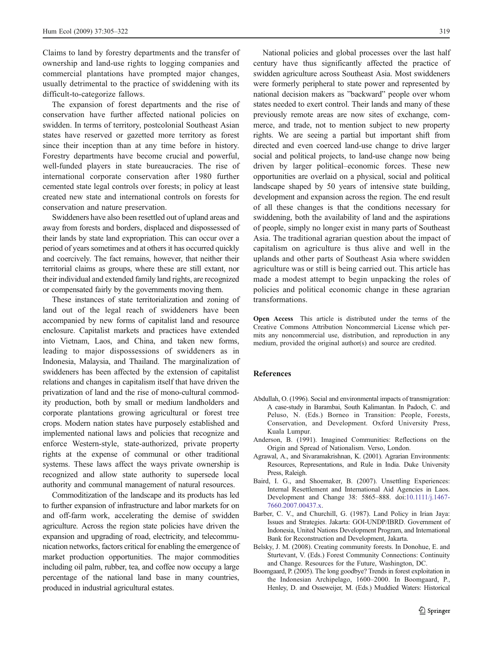<span id="page-14-0"></span>Claims to land by forestry departments and the transfer of ownership and land-use rights to logging companies and commercial plantations have prompted major changes, usually detrimental to the practice of swiddening with its difficult-to-categorize fallows.

The expansion of forest departments and the rise of conservation have further affected national policies on swidden. In terms of territory, postcolonial Southeast Asian states have reserved or gazetted more territory as forest since their inception than at any time before in history. Forestry departments have become crucial and powerful, well-funded players in state bureaucracies. The rise of international corporate conservation after 1980 further cemented state legal controls over forests; in policy at least created new state and international controls on forests for conservation and nature preservation.

Swiddeners have also been resettled out of upland areas and away from forests and borders, displaced and dispossessed of their lands by state land expropriation. This can occur over a period of years sometimes and at others it has occurred quickly and coercively. The fact remains, however, that neither their territorial claims as groups, where these are still extant, nor their individual and extended family land rights, are recognized or compensated fairly by the governments moving them.

These instances of state territorialization and zoning of land out of the legal reach of swiddeners have been accompanied by new forms of capitalist land and resource enclosure. Capitalist markets and practices have extended into Vietnam, Laos, and China, and taken new forms, leading to major dispossessions of swiddeners as in Indonesia, Malaysia, and Thailand. The marginalization of swiddeners has been affected by the extension of capitalist relations and changes in capitalism itself that have driven the privatization of land and the rise of mono-cultural commodity production, both by small or medium landholders and corporate plantations growing agricultural or forest tree crops. Modern nation states have purposely established and implemented national laws and policies that recognize and enforce Western-style, state-authorized, private property rights at the expense of communal or other traditional systems. These laws affect the ways private ownership is recognized and allow state authority to supersede local authority and communal management of natural resources.

Commoditization of the landscape and its products has led to further expansion of infrastructure and labor markets for on and off-farm work, accelerating the demise of swidden agriculture. Across the region state policies have driven the expansion and upgrading of road, electricity, and telecommunication networks, factors critical for enabling the emergence of market production opportunities. The major commodities including oil palm, rubber, tea, and coffee now occupy a large percentage of the national land base in many countries, produced in industrial agricultural estates.

National policies and global processes over the last half century have thus significantly affected the practice of swidden agriculture across Southeast Asia. Most swiddeners were formerly peripheral to state power and represented by national decision makers as "backward" people over whom states needed to exert control. Their lands and many of these previously remote areas are now sites of exchange, commerce, and trade, not to mention subject to new property rights. We are seeing a partial but important shift from directed and even coerced land-use change to drive larger social and political projects, to land-use change now being driven by larger political–economic forces. These new opportunities are overlaid on a physical, social and political landscape shaped by 50 years of intensive state building, development and expansion across the region. The end result of all these changes is that the conditions necessary for swiddening, both the availability of land and the aspirations of people, simply no longer exist in many parts of Southeast Asia. The traditional agrarian question about the impact of capitalism on agriculture is thus alive and well in the uplands and other parts of Southeast Asia where swidden agriculture was or still is being carried out. This article has made a modest attempt to begin unpacking the roles of policies and political economic change in these agrarian transformations.

Open Access This article is distributed under the terms of the Creative Commons Attribution Noncommercial License which permits any noncommercial use, distribution, and reproduction in any medium, provided the original author(s) and source are credited.

#### References

- Abdullah, O. (1996). Social and environmental impacts of transmigration: A case-study in Barambai, South Kalimantan. In Padoch, C. and Peluso, N. (Eds.) Borneo in Transition: People, Forests, Conservation, and Development. Oxford University Press, Kuala Lumpur.
- Anderson, B. (1991). Imagined Communities: Reflections on the Origin and Spread of Nationalism. Verso, London.
- Agrawal, A., and Sivaramakrishnan, K. (2001). Agrarian Environments: Resources, Representations, and Rule in India. Duke University Press, Raleigh.
- Baird, I. G., and Shoemaker, B. (2007). Unsettling Experiences: Internal Resettlement and International Aid Agencies in Laos. Development and Change 38: 5865–888. doi:[10.1111/j.1467-](http://dx.doi.org/10.1111/j.1467-7660.2007.00437.x) [7660.2007.00437.x](http://dx.doi.org/10.1111/j.1467-7660.2007.00437.x).
- Barber, C. V., and Churchill, G. (1987). Land Policy in Irian Jaya: Issues and Strategies. Jakarta: GOI-UNDP/IBRD. Government of Indonesia, United Nations Development Program, and International Bank for Reconstruction and Development, Jakarta.
- Belsky, J. M. (2008). Creating community forests. In Donohue, E. and Sturtevant, V. (Eds.) Forest Community Connections: Continuity and Change. Resources for the Future, Washington, DC.
- Boomgaard, P. (2005). The long goodbye? Trends in forest exploitation in the Indonesian Archipelago, 1600–2000. In Boomgaard, P., Henley, D. and Osseweijer, M. (Eds.) Muddied Waters: Historical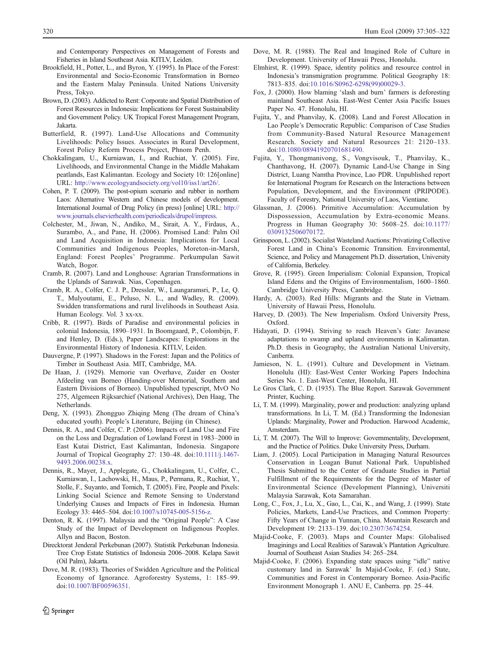<span id="page-15-0"></span>and Contemporary Perspectives on Management of Forests and Fisheries in Island Southeast Asia. KITLV, Leiden.

- Brookfield, H., Potter, L., and Byron, Y. (1995). In Place of the Forest: Environmental and Socio-Economic Transformation in Borneo and the Eastern Malay Peninsula. United Nations University Press, Tokyo.
- Brown, D. (2003). Addicted to Rent: Corporate and Spatial Distribution of Forest Resources in Indonesia: Implications for Forest Sustainability and Government Policy. UK Tropical Forest Management Program, Jakarta.
- Butterfield, R. (1997). Land-Use Allocations and Community Livelihoods: Policy Issues. Associates in Rural Development, Forest Policy Reform Process Project, Phnom Penh.
- Chokkalingam, U., Kurniawan, I., and Ruchiat, Y. (2005). Fire, Livelihoods, and Environmental Change in the Middle Mahakam peatlands, East Kalimantan. Ecology and Society 10: 126[online] URL: <http://www.ecologyandsociety.org/vol10/iss1/art26/>.
- Cohen, P. T. (2009). The post-opium scenario and rubber in northern Laos: Alternative Western and Chinese models of development. International Journal of Drug Policy (in press) [online] URL: [http://](http://www.journals.elsevierhealth.com/periodicals/drupol/impress/) [www.journals.elsevierhealth.com/periodicals/drupol/impress](http://www.journals.elsevierhealth.com/periodicals/drupol/impress/).
- Colchester, M., Jiwan, N., Andiko, M., Sirait, A. Y., Firdaus, A., Surambo, A., and Pane, H. (2006). Promised Land: Palm Oil and Land Acquisition in Indonesia: Implications for Local Communities and Indigenous Peoples, Moreton-in-Marsh, England: Forest Peoples' Programme. Perkumpulan Sawit Watch, Bogor.
- Cramb, R. (2007). Land and Longhouse: Agrarian Transformations in the Uplands of Sarawak. Nias, Copenhagen.
- Cramb, R. A., Colfer, C. J. P., Dressler, W., Laungaramsri, P., Le, Q. T., Mulyoutami, E., Peluso, N. L., and Wadley, R. (2009). Swidden transformations and rural livelihoods in Southeast Asia. Human Ecology. Vol. 3 xx-xx.
- Cribb, R. (1997). Birds of Paradise and environmental policies in colonial Indonesia, 1890–1931. In Boomgaard, P., Colombijn, F. and Henley, D. (Eds.), Paper Landscapes: Explorations in the Environmental History of Indonesia. KITLV, Leiden.
- Dauvergne, P. (1997). Shadows in the Forest: Japan and the Politics of Timber in Southeast Asia. MIT, Cambridge, MA.
- De Haan, J. (1929). Memorie van Overhave, Zuider en Ooster Afdeeling van Borneo (Handing-over Memorial, Southern and Eastern Divisions of Borneo). Unpublished typescript, MvO No 275, Algemeen Rijksarchief (National Archives), Den Haag, The Netherlands.
- Deng, X. (1993). Zhongguo Zhiqing Meng (The dream of China's educated youth). People's Literature, Beijing (in Chinese).
- Dennis, R. A., and Colfer, C. P. (2006). Impacts of Land Use and Fire on the Loss and Degradation of Lowland Forest in 1983–2000 in East Kutai District, East Kalimantan, Indonesia. Singapore Journal of Tropical Geography 27: 130–48. doi:[10.1111/j.1467-](http://dx.doi.org/10.1111/j.1467-9493.2006.00238.x) [9493.2006.00238.x](http://dx.doi.org/10.1111/j.1467-9493.2006.00238.x).
- Dennis, R., Mayer, J., Applegate, G., Chokkalingam, U., Colfer, C., Kurniawan, I., Lachowski, H., Maus, P., Permana, R., Ruchiat, Y., Stolle, F., Suyanto, and Tomich, T. (2005). Fire, People and Pixels: Linking Social Science and Remote Sensing to Understand Underlying Causes and Impacts of Fires in Indonesia. Human Ecology 33: 4465–504. doi[:10.1007/s10745-005-5156-z](http://dx.doi.org/10.1007/s10745-005-5156-z).
- Denton, R. K. (1997). Malaysia and the "Original People": A Case Study of the Impact of Development on Indigenous Peoples. Allyn and Bacon, Boston.
- Direcktorat Jenderal Perkebunan (2007). Statistik Perkebunan Indonesia. Tree Crop Estate Statistics of Indonesia 2006–2008. Kelapa Sawit (Oil Palm), Jakarta.
- Dove, M. R. (1983). Theories of Swidden Agriculture and the Political Economy of Ignorance. Agroforestry Systems, 1: 185–99. doi:[10.1007/BF00596351.](http://dx.doi.org/10.1007/BF00596351)
- Dove, M. R. (1988). The Real and Imagined Role of Culture in Development. University of Hawaii Press, Honolulu.
- Elmhirst, R. (1999). Space, identity politics and resource control in Indonesia's transmigration programme. Political Geography 18: 7813–835. doi:[10.1016/S0962-6298\(99\)00029-3.](http://dx.doi.org/10.1016/S0962-6298(99)00029-3)
- Fox, J. (2000). How blaming 'slash and burn' farmers is deforesting mainland Southeast Asia. East-West Center Asia Pacific Issues Paper No. 47. Honolulu, HI.
- Fujita, Y., and Phanvilay, K. (2008). Land and Forest Allocation in Lao People's Democratic Republic: Comparison of Case Studies from Community-Based Natural Resource Management Research. Society and Natural Resources 21: 2120–133. doi:[10.1080/08941920701681490.](http://dx.doi.org/10.1080/08941920701681490)
- Fujita, Y., Thongmanivong, S., Vongvisouk, T., Phanvilay, K., Chanthavong, H. (2007). Dynamic Land-Use Change in Sing District, Luang Namtha Province, Lao PDR. Unpublished report for International Program for Research on the Interactions between Population, Development, and the Environment (PRIPODE). Faculty of Forestry, National University of Laos, Vientiane.
- Glassman, J. (2006). Primitive Accumulation: Accumulation by Dispossession, Accumulation by Extra-economic Means. Progress in Human Geography 30: 5608–25. doi[:10.1177/](http://dx.doi.org/10.1177/0309132506070172) [0309132506070172](http://dx.doi.org/10.1177/0309132506070172).
- Grinspoon, L. (2002). Socialist Wasteland Auctions: Privatizing Collective Forest Land in China's Economic Transition. Environmental, Science, and Policy and Management Ph.D. dissertation, University of California, Berkeley.
- Grove, R. (1995). Green Imperialism: Colonial Expansion, Tropical Island Edens and the Origins of Environmentalism, 1600–1860. Cambridge University Press, Cambridge.
- Hardy, A. (2003). Red Hills: Migrants and the State in Vietnam. University of Hawaii Press, Honolulu.
- Harvey, D. (2003). The New Imperialism. Oxford University Press, Oxford.
- Hidayati, D. (1994). Striving to reach Heaven's Gate: Javanese adaptations to swamp and upland environments in Kalimantan. Ph.D. thesis in Geography, the Australian National University, Canberra.
- Jamieson, N. L. (1991). Culture and Development in Vietnam. Honolulu (HI): East-West Center Working Papers Indochina Series No. 1. East-West Center, Honolulu, HI.
- Le Gros Clark, C. D. (1935). The Blue Report. Sarawak Government Printer, Kuching.
- Li, T. M. (1999). Marginality, power and production: analyzing upland transformations. In Li, T. M. (Ed.) Transforming the Indonesian Uplands: Marginality, Power and Production. Harwood Academic, Amsterdam.
- Li, T. M. (2007). The Will to Improve: Governmentality, Development, and the Practice of Politics. Duke University Press, Durham.
- Liam, J. (2005). Local Participation in Managing Natural Resources Conservation in Loagan Bunut National Park. Unpublished Thesis Submitted to the Center of Graduate Studies in Partial Fulfillment of the Requirements for the Degree of Master of Environmental Science (Development Planning), Universiti Malaysia Sarawak, Kota Samarahan.
- Long, C., Fox, J., Lu, X., Gao, L., Cai, K., and Wang, J. (1999). State Policies, Markets, Land-Use Practices, and Common Property: Fifty Years of Change in Yunnan, China. Mountain Research and Development 19: 2133–139. doi[:10.2307/3674254.](http://dx.doi.org/10.2307/3674254)
- Majid-Cooke, F. (2003). Maps and Counter Maps: Globalised Imaginings and Local Realities of Sarawak's Plantation Agriculture. Journal of Southeast Asian Studies 34: 265–284.
- Majid-Cooke, F. (2006). Expanding state spaces using "idle" native customary land in Sarawak' In Majid-Cooke, F. (ed.) State, Communities and Forest in Contemporary Borneo. Asia-Pacific Environment Monograph 1. ANU E, Canberra. pp. 25–44.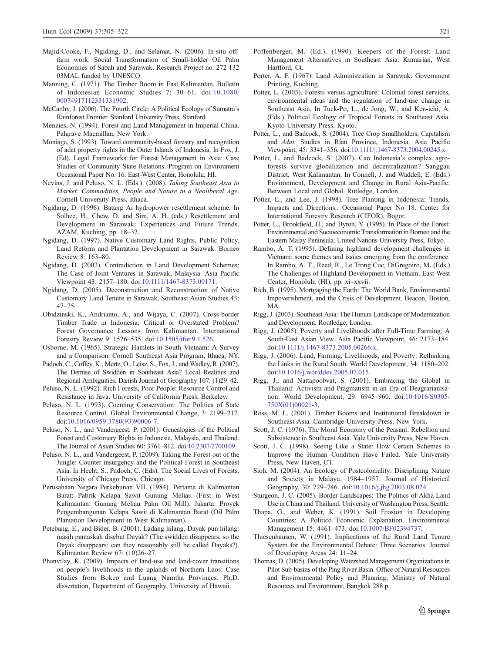- <span id="page-16-0"></span>Majid-Cooke, F., Ngidang, D., and Selamat, N. (2006). In-situ offfarm work: Social Transformation of Small-holder Oil Palm Economies of Sabah and Sarawak. Research Project no. 272 132 03MAL funded by UNESCO.
- Manning, C. (1971). The Timber Boom in East Kalimantan. Bulletin of Indonesian Economic Studies 7: 30–61. doi:[10.1080/](http://dx.doi.org/10.1080/00074917112331331902) [00074917112331331902](http://dx.doi.org/10.1080/00074917112331331902).
- McCarthy, J. (2006). The Fourth Circle: A Political Ecology of Sumatra's Rainforest Frontier. Stanford University Press, Stanford.
- Menzies, N. (1994). Forest and Land Management in Imperial China. Palgrave Macmillan, New York.
- Moniaga, S. (1993). Toward community-based forestry and recognition of adat property rights in the Outer Islands of Indonesia. In Fox, J. (Ed). Legal Frameworks for Forest Management in Asia: Case Studies of Community State Relations. Program on Environment Occasional Paper No. 16. East-West Center, Honolulu, HI.
- Nevins, J. and Peluso, N. L. (Eds.). (2008). Taking Southeast Asia to Market: Commodities, People and Nature in a Neoliberal Age. Cornell University Press, Ithaca.
- Ngidang, D. (1996). Batang Ai hydropower resettlement scheme. In Solhee, H., Chew, D. and Sim, A. H. (eds.) Resettlement and Development in Sarawak: Experiences and Future Trends, AZAM, Kuching, pp. 18–32.
- Ngidang, D. (1997). Native Customary Land Rights, Public Policy, Land Reform and Plantation Development in Sarawak. Borneo Review 8: 163–80.
- Ngidang, D. (2002). Contradiction in Land Development Schemes: The Case of Joint Ventures in Sarawak, Malaysia. Asia Pacific Viewpoint 43: 2157–180. doi:[10.1111/1467-8373.00171.](http://dx.doi.org/10.1111/1467-8373.00171)
- Ngidang, D. (2005). Deconstruction and Reconstruction of Native Customary Land Tenure in Sarawak. Southeast Asian Studies 43: 47–75.
- Obidzinski, K., Andrianto, A., and Wijaya, C. (2007). Cross-border Timber Trade in Indonesia: Critical or Overstated Problem? Forest Governance Lessons from Kalimantan. International Forestry Review 9: 1526–535. doi:[10.1505/ifor.9.1.526.](http://dx.doi.org/10.1505/ifor.9.1.526)
- Osborne, M. (1965). Strategic Hamlets in South Vietnam: A Survey and a Comparison. Cornell Southeast Asia Program, Ithaca, NY.
- Padoch, C., Coffey, K., Mertz, O., Leisz, S., Fox, J., and Wadley, R. (2007). The Demise of Swidden in Southeast Asia? Local Realities and Regional Ambiguities. Danish Journal of Geography 107: (1)29–42.
- Peluso, N. L. (1992). Rich Forests, Poor People: Resource Control and Resistance in Java. University of California Press, Berkeley.
- Peluso, N. L. (1993). Coercing Conservation: The Politics of State Resource Control. Global Environmental Change, 3: 2199–217. doi:[10.1016/0959-3780\(93\)90006-7](http://dx.doi.org/10.1016/0959-3780(93)90006-7).
- Peluso, N. L., and Vandergeest, P. (2001). Genealogies of the Political Forest and Customary Rights in Indonesia, Malaysia, and Thailand. The Journal of Asian Studies 60: 3761–812. doi[:10.2307/2700109.](http://dx.doi.org/10.2307/2700109)
- Peluso, N. L., and Vandergeest, P. (2009). Taking the Forest out of the Jungle: Counter-insurgency and the Political Forest in Southeast Asia. In Hecht, S., Padoch, C. (Eds). The Social Lives of Forests. University of Chicago Press, Chicago.
- Perusahaan Negara Perkebunan VII. (1984). Pertama di Kalimantan Barat: Pabrik Kelapa Sawit Gunung Meliau (First in West Kalimantan: Gunung Meliau Palm Oil Mill). Jakarta: Proyek Pengembangunan Kelapa Sawit di Kalimantan Barat (Oil Palm Plantation Development in West Kalimantan).
- Petebang, E., and Bider, B. (2001). Ladang hilang, Dayak pun hilang: masih pantaskah disebut Dayak? (The swidden disappears, so the Dayak disappears: can they reasonably still be called Dayaks?). Kalimantan Review 67: (10)26–27.
- Phanvilay, K. (2009). Impacts of land-use and land-cover transitions on people's livelihoods in the uplands of Northern Laos: Case Studies from Bokeo and Luang Namtha Provinces. Ph.D. dissertation, Department of Geography, University of Hawaii.
- Poffenberger, M. (Ed.). (1990). Keepers of the Forest: Land Management Alternatives in Southeast Asia. Kumarian, West Hartford, Ct.
- Porter, A. F. (1967). Land Administration in Sarawak. Government Printing, Kuching.
- Potter, L. (2003). Forests versus agriculture: Colonial forest services, environmental ideas and the regulation of land-use change in Southeast Asia. In Tuck-Po, L., de Jong, W., and Ken-ichi, A. (Eds.) Political Ecology of Tropical Forests in Southeast Asia. Kyoto University Press, Kyoto.
- Potter, L., and Badcock, S. (2004). Tree Crop Smallholders, Capitalism and Adat: Studies in Riau Province, Indonesia. Asia Pacific Viewpoint, 45: 3341–356. doi[:10.1111/j.1467-8373.2004.00245.x](http://dx.doi.org/10.1111/j.1467-8373.2004.00245.x).
- Potter, L. and Badcock, S. (2007). Can Indonesia's complex agroforests survive globalization and decentralization? Sanggau District, West Kalimantan. In Connell, J. and Waddell, E. (Eds.) Environment, Development and Change in Rural Asia-Pacific: Between Local and Global. Rutledge, London.
- Potter, L., and Lee, J. (1998). Tree Planting in Indonesia: Trends, Impacts and Directions.. Occasional Paper No 18. Center for International Forestry Research (CIFOR), Bogor.
- Potter, L., Brookfield, H., and Byron, Y. (1995). In Place of the Forest: Environmental and Socioeconomic Transformation in Borneo and the Eastern Malay Peninsula. United Nations University Press, Tokyo.
- Rambo, A. T. (1995). Defining highland development challenges in Vietnam: some themes and issues emerging from the conference. In Rambo, A. T., Reed, R., Le Trong Cuc, DiGregoiro, M. (Eds.) The Challenges of Highland Development in Vietnam. East-West Center, Honolulu (HI), pp. xi–xxvii.
- Rich, B. (1995). Mortgaging the Earth: The World Bank, Environmental Impoverishment, and the Crisis of Development. Beacon, Boston, MA.
- Rigg, J. (2003). Southeast Asia: The Human Landscape of Modernization and Development. Routledge, London.
- Rigg, J. (2005). Poverty and Livelihoods after Full-Time Farming: A South-East Asian View. Asia Pacific Viewpoint, 46: 2173–184. doi:[10.1111/j.1467-8373.2005.00266.x.](http://dx.doi.org/10.1111/j.1467-8373.2005.00266.x)
- Rigg, J. (2006). Land, Farming, Livelihoods, and Poverty: Rethinking the Links in the Rural South. World Development, 34: 1180–202. doi:[10.1016/j.worlddev.2005.07.015.](http://dx.doi.org/10.1016/j.worlddev.2005.07.015)
- Rigg, J., and Nattapoolwat, S. (2001). Embracing the Global in Thailand: Activism and Pragmatism in an Era of Deagrarianisation. World Development, 29: 6945–960. doi:[10.1016/S0305-](http://dx.doi.org/10.1016/S0305-750X(01)00021-3) [750X\(01\)00021-3.](http://dx.doi.org/10.1016/S0305-750X(01)00021-3)
- Ross, M. L. (2001). Timber Booms and Institutional Breakdown in Southeast Asia. Cambridge University Press, New York.
- Scott, J. C. (1976). The Moral Economy of the Peasant: Rebellion and Subsistence in Southeast Asia. Yale University Press, New Haven.
- Scott, J. C. (1998). Seeing Like a State: How Certain Schemes to Improve the Human Condition Have Failed. Yale University Press, New Haven, CT.
- Sioh, M. (2004). An Ecology of Postcoloniality: Disciplining Nature and Society in Malaya, 1984–1957. Journal of Historical Geography, 30: 729–746. doi:[10.1016/j.jhg.2003.08.024](http://dx.doi.org/10.1016/j.jhg.2003.08.024).
- Sturgeon, J. C. (2005). Border Landscapes: The Politics of Akha Land Use in China and Thailand. University of Washington Press, Seattle.
- Thapa, G., and Weber, K. (1991). Soil Erosion in Developing Countries: A Politico Economic Explanation. Environmental Management 15: 4461–473. doi:[10.1007/BF02394737.](http://dx.doi.org/10.1007/BF02394737)
- Thiesenhausen, W. (1991). Implications of the Rural Land Tenure System for the Environmental Debate: Three Scenarios. Journal of Developing Areas 24: 11–24.
- Thomas, D. (2005). Developing Watershed Management Organizations in Pilot Sub-basins of the Ping River Basin. Office of Natural Resources and Environmental Policy and Planning, Ministry of Natural Resources and Environment, Bangkok 288 p.